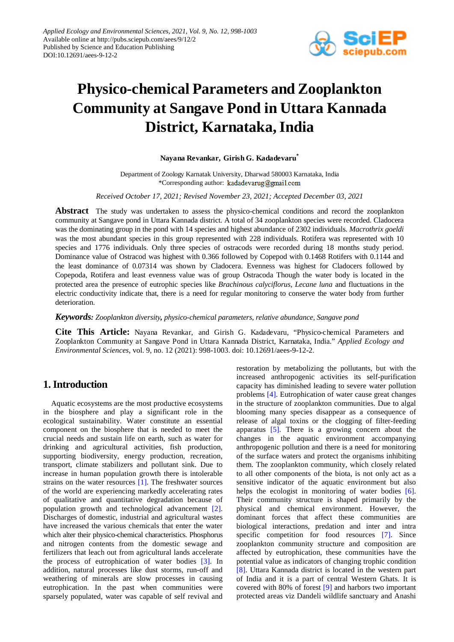

# **Physico-chemical Parameters and Zooplankton Community at Sangave Pond in Uttara Kannada District, Karnataka,India**

#### **Nayana Revankar, Girish G. Kadadevaru\***

Department of Zoology Karnatak University, Dharwad 580003 Karnataka, India \*Corresponding author: kadadevarug@gmail.com

*Received October 17, 2021; Revised November 23, 2021; Accepted December 03, 2021*

**Abstract** The study was undertaken to assess the physico-chemical conditions and record the zooplankton community at Sangave pond in Uttara Kannada district. A total of 34 zooplankton species were recorded. Cladocera was the dominating group in the pond with 14 species and highest abundance of 2302 individuals. *Macrothrix goeldi* was the most abundant species in this group represented with 228 individuals. Rotifera was represented with 10 species and 1776 individuals. Only three species of ostracods were recorded during 18 months study period. Dominance value of Ostracod was highest with 0.366 followed by Copepod with 0.1468 Rotifers with 0.1144 and the least dominance of 0.07314 was shown by Cladocera. Evenness was highest for Cladocers followed by Copepoda, Rotifera and least evenness value was of group Ostracoda Though the water body is located in the protected area the presence of eutrophic species like *Brachinous calyciflorus, Lecane luna* and fluctuations in the electric conductivity indicate that, there is a need for regular monitoring to conserve the water body from further deterioration.

*Keywords: Zooplankton diversity, physico-chemical parameters, relative abundance, Sangave pond*

**Cite This Article:** Nayana Revankar, and Girish G. Kadadevaru, "Physico-chemical Parameters and Zooplankton Community at Sangave Pond in Uttara Kannada District, Karnataka, India." *Applied Ecology and Environmental Sciences*, vol. 9, no. 12 (2021): 998-1003. doi: 10.12691/aees-9-12-2.

# **1. Introduction**

Aquatic ecosystems are the most productive ecosystems in the biosphere and play a significant role in the ecological sustainability. Water constitute an essential component on the biosphere that is needed to meet the crucial needs and sustain life on earth, such as water for drinking and agricultural activities, fish production, supporting biodiversity, energy production, recreation, transport, climate stabilizers and pollutant sink. Due to increase in human population growth there is intolerable strains on the water resources [\[1\].](#page-4-0) The freshwater sources of the world are experiencing markedly accelerating rates of qualitative and quantitative degradation because of population growth and technological advancement [\[2\].](#page-4-1) Discharges of domestic, industrial and agricultural wastes have increased the various chemicals that enter the water which alter their physico-chemical characteristics. Phosphorus and nitrogen contents from the domestic sewage and fertilizers that leach out from agricultural lands accelerate the process of eutrophication of water bodies [\[3\].](#page-4-2) In addition, natural processes like dust storms, run-off and weathering of minerals are slow processes in causing eutrophication. In the past when communities were sparsely populated, water was capable of self revival and restoration by metabolizing the pollutants, but with the increased anthropogenic activities its self-purification capacity has diminished leading to severe water pollution problems [\[4\].](#page-4-3) Eutrophication of water cause great changes in the structure of zooplankton communities. Due to algal blooming many species disappear as a consequence of release of algal toxins or the clogging of filter-feeding apparatus [\[5\].](#page-4-4) There is a growing concern about the changes in the aquatic environment accompanying anthropogenic pollution and there is a need for monitoring of the surface waters and protect the organisms inhibiting them. The zooplankton community, which closely related to all other components of the biota, is not only act as a sensitive indicator of the aquatic environment but also helps the ecologist in monitoring of water bodies [\[6\].](#page-4-5) Their community structure is shaped primarily by the physical and chemical environment. However, the dominant forces that affect these communities are biological interactions, predation and inter and intra specific competition for food resources [\[7\].](#page-4-6) Since zooplankton community structure and composition are affected by eutrophication, these communities have the potential value as indicators of changing trophic condition [\[8\].](#page-4-7) Uttara Kannada district is located in the western part of India and it is a part of central Western Ghats. It is covered with 80% of forest [\[9\]](#page-4-8) and harbors two important protected areas viz Dandeli wildlife sanctuary and Anashi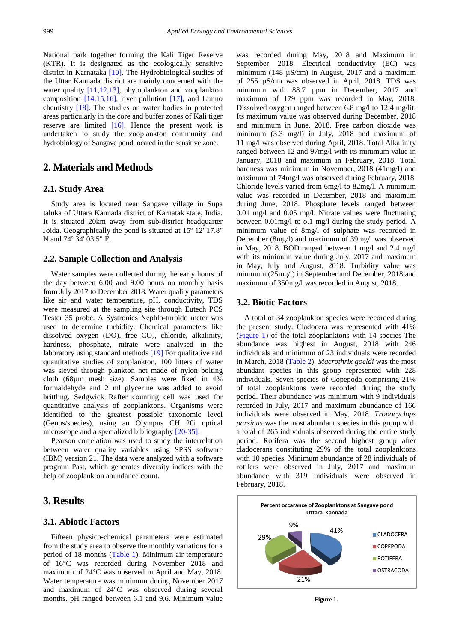National park together forming the Kali Tiger Reserve (KTR). It is designated as the ecologically sensitive district in Karnataka [\[10\].](#page-4-9) The Hydrobiological studies of the Uttar Kannada district are mainly concerned with the water quality [\[11,12,13\],](#page-4-10) phytoplankton and zooplankton composition  $[14,15,16]$ , river pollution  $[17]$ , and Limno chemistry [\[18\].](#page-5-1) The studies on water bodies in protected areas particularly in the core and buffer zones of Kali tiger reserve are limited [\[16\].](#page-4-12) Hence the present work is undertaken to study the zooplankton community and hydrobiology of Sangave pond located in the sensitive zone.

## **2. Materials and Methods**

#### **2.1. Study Area**

Study area is located near Sangave village in Supa taluka of Uttara Kannada district of Karnatak state, India. It is situated 20km away from sub-district headquarter Joida. Geographically the pond is situated at 15º 12' 17.8" N and 74º 34' 03.5" E.

#### **2.2. Sample Collection and Analysis**

Water samples were collected during the early hours of the day between 6:00 and 9:00 hours on monthly basis from July 2017 to December 2018. Water quality parameters like air and water temperature, pH, conductivity, TDS were measured at the sampling site through Eutech PCS Tester 35 probe. A Systronics Nephlo-turbido meter was used to determine turbidity. Chemical parameters like dissolved oxygen (DO), free  $CO<sub>2</sub>$ , chloride, alkalinity, hardness, phosphate, nitrate were analysed in the laboratory using standard methods [\[19\]](#page-5-2) For qualitative and quantitative studies of zooplankton, 100 litters of water was sieved through plankton net made of nylon bolting cloth (68µm mesh size). Samples were fixed in 4% formaldehyde and 2 ml glycerine was added to avoid brittling. Sedgwick Rafter counting cell was used for quantitative analysis of zooplanktons. Organisms were identified to the greatest possible taxonomic level (Genus/species), using an Olympus CH 20i optical microscope and a specialized bibliograph[y \[20-35\].](#page-5-3)

Pearson correlation was used to study the interrelation between water quality variables using SPSS software (IBM) version 21. The data were analyzed with a software program Past, which generates diversity indices with the help of zooplankton abundance count.

## **3. Results**

#### **3.1. Abiotic Factors**

Fifteen physico-chemical parameters were estimated from the study area to observe the monthly variations for a period of 18 months [\(Table 1\)](#page-2-0). Minimum air temperature of 16°C was recorded during November 2018 and maximum of 24°C was observed in April and May, 2018. Water temperature was minimum during November 2017 and maximum of 24°C was observed during several months. pH ranged between 6.1 and 9.6. Minimum value

was recorded during May, 2018 and Maximum in September, 2018. Electrical conductivity (EC) was minimum (148  $\mu$ S/cm) in August, 2017 and a maximum of 255 µS/cm was observed in April, 2018. TDS was minimum with 88.7 ppm in December, 2017 and maximum of 179 ppm was recorded in May, 2018. Dissolved oxygen ranged between 6.8 mg/l to 12.4 mg/lit. Its maximum value was observed during December, 2018 and minimum in June, 2018. Free carbon dioxide was minimum (3.3 mg/l) in July, 2018 and maximum of 11 mg/l was observed during April, 2018. Total Alkalinity ranged between 12 and 97mg/l with its minimum value in January, 2018 and maximum in February, 2018. Total hardness was minimum in November, 2018 (41mg/l) and maximum of 74mg/l was observed during February, 2018. Chloride levels varied from 6mg/l to 82mg/l. A minimum value was recorded in December, 2018 and maximum during June, 2018. Phosphate levels ranged between 0.01 mg/l and 0.05 mg/l. Nitrate values were fluctuating between 0.01mg/l to o.1 mg/l during the study period. A minimum value of 8mg/l of sulphate was recorded in December (8mg/l) and maximum of 39mg/l was observed in May, 2018. BOD ranged between 1 mg/l and 2.4 mg/l with its minimum value during July, 2017 and maximum in May, July and August, 2018. Turbidity value was minimum (25mg/l) in September and December, 2018 and maximum of 350mg/l was recorded in August, 2018.

#### **3.2. Biotic Factors**

A total of 34 zooplankton species were recorded during the present study. Cladocera was represented with 41% [\(Figure 1\)](#page-1-0) of the total zooplanktons with 14 species The abundance was highest in August, 2018 with 246 individuals and minimum of 23 individuals were recorded in March, 2018 [\(Table 2\)](#page-2-1). *Macrothrix goeldi* was the most abundant species in this group represented with 228 individuals. Seven species of Copepoda comprising 21% of total zooplanktons were recorded during the study period. Their abundance was minimum with 9 individuals recorded in July, 2017 and maximum abundance of 166 individuals were observed in May, 2018. *Tropocyclops parsinus* was the most abundant species in this group with a total of 265 individuals observed during the entire study period. Rotifera was the second highest group after cladocerans constituting 29% of the total zooplanktons with 10 species. Minimum abundance of 28 individuals of rotifers were observed in July, 2017 and maximum abundance with 319 individuals were observed in February, 2018.

<span id="page-1-0"></span>

**Figure 1**.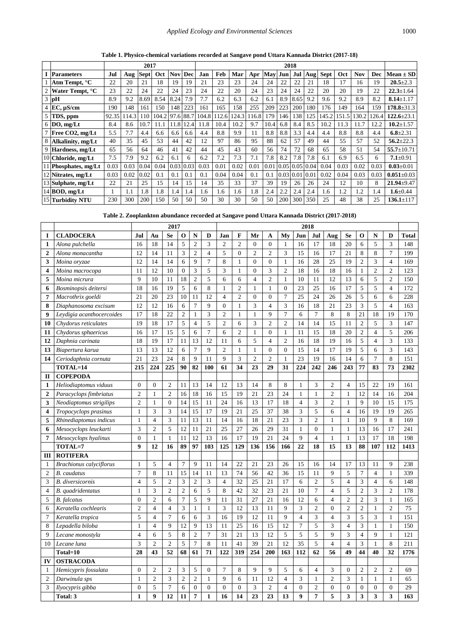**Table 1. Physico-chemical variations recorded at Sangave pond Uttara Kannada District (2017-18)**

<span id="page-2-0"></span>

|   |                           | 2017  |      |             |       |      |      | 2018  |      |       |      |      |      |      |      |             |       |            |       |                  |
|---|---------------------------|-------|------|-------------|-------|------|------|-------|------|-------|------|------|------|------|------|-------------|-------|------------|-------|------------------|
|   | <b>Parameters</b>         | Jul   | Aug  | <b>Sept</b> | Oct   | Nov  | Dec  | Jan   | Feb  | Mar   | Apr  | May  | Jun  | .Tul | Aug  | <b>Sept</b> | Oct   | <b>Nov</b> | Dec   | $Mean \pm SD$    |
|   | Atm Tempt, <sup>o</sup> C | 22    | 20   | 21          | 18    | 19   | 19   | 21    | 23   | 23    | 24   | 24   | 22   | 22   | 21   | 18          | 17    | 16         | 19    | $20.5 \pm 2.3$   |
| 2 | Water Tempt, °C           | 23    | 22   | 24          | 22    | 24   | 23   | 24    | 22   | 20    | 24   | 23   | 24   | 24   | 22   | 20          | 20    | 19         | 22    | $22.3 + 1.64$    |
|   | $3$ pH                    | 8.9   | 9.2  | 8.69        | 8.54  | 8.24 | 7.9  | 7.7   | 6.2  | 6.3   | 6.2  | 6.1  | 8.9  | 8.65 | 9.2  | 9.6         | 9.2   | 8.9        | 8.2   | $8.14 \pm 1.17$  |
|   | $EC, \mu S/cm$            | 190   | 148  | 161         | 150   | 148  | 223  | 161   | 165  | 158   | 255  | 209  | 223  | 200  | 180  | 176         | 149   | 164        | 159   | $178.8 \pm 31.3$ |
|   | 5 TDS, ppm                | 92.35 | 14.3 | 110         | 104.2 | 97.6 | 88.7 | 104.8 | 12.6 | 124.3 | 16.8 | 179  | 146  | 138  | 125  | 145.2       | 151.5 | 30.2       | 126.4 | $122.6 \pm 23.1$ |
|   | $6$ DO, mg/Lt             | 8.4   | 8.6  | 10.7        | 1.1   | 1.8  | 12.4 | 1.8   | 10.4 | 10.2  | 9.7  | 10.4 | 6.8  | 8.4  | 8.5  | 10.2        | 11.3  | 1.7        | 12.2  | $10.2 \pm 1.57$  |
|   | Free CO2, mg/Lt           | 5.5   | 7.7  | 4.4         | 6.6   | 6.6  | 6.6  | 4.4   | 8.8  | 9.9   | 11   | 8.8  | 8.8  | 3.3  | 4.4  | 4.4         | 8.8   | 8.8        | 4.4   | $6.8 \pm 2.31$   |
|   | 8 Alkalinity, mg/Lt       | 40    | 35   | 45          | 53    | 44   | 42   | 12    | 97   | 86    | 95   | 88   | 62   | 57   | 49   | 44          | 55    | 57         | 52    | $56.2 \pm 22.3$  |
|   | 9 Hardness, mg/Lt         | 65    | 56   | 64          | 46    | 41   | 42   | 44    | 45   | 43    | 60   | 56   | 74   | 72   | 68   | 65          | 58    | 51         | 54    | $55.7 \pm 10.71$ |
|   | 10 Chloride, mg/Lt        | 7.5   | 7.9  | 9.2         | 6.2   | 6.1  | 6    | 6.2   | 7.2  | 7.3   | 7.1  | 7.8  | 8.2  | 7.8  | 7.8  | 6.1         | 6.9   | 6.5        | 6     | $7.1 + 0.91$     |
|   | 11 Phosphates, mg/Lt      | 0.03  | 0.03 | 0.04        | 0.04  | 0.03 | 0.03 | 0.03  | 0.01 | 0.02  | 0.01 | 0.01 | 0.05 | 0.05 | 0.04 | 0.04        | 0.03  | 0.02       | 0.03  | $0.03 + 0.01$    |
|   | 12 Nitrates, mg/Lt        | 0.03  | 0.02 | 0.02        | 0.1   | 0.1  | 0.1  | 0.1   | 0.04 | 0.04  | 0.1  | 0.1  | 0.03 | 0.01 | 0.01 | 0.02        | 0.04  | 0.03       | 0.03  | $0.051 \pm 0.03$ |
|   | 13 Sulphate, mg/Lt        | 22    | 21   | 25          | 15    | 14   | 15   | 14    | 35   | 33    | 37   | 39   | 19   | 26   | 26   | 24          | 12    | 10         | 8     | $21.94 \pm 9.47$ |
|   | $14$ BOD, mg/Lt           |       | 1.1  | 1.8         | 1.8   | 1.4  | 1.4  | 1.6   | 1.6  | 1.6   | 1.8  | 2.4  | 2.2  | 2.4  | 2.4  | 1.6         | 1.2   | 1.2        | 1.4   | $1.6 \pm 0.44$   |
|   | 15 Turbidity NTU          | 230   | 300  | 200         | 150   | 50   | 50   | 50    | 30   | 30    | 50   | 50   | 200  | 300  | 350  | 25          | 48    | 38         | 25    | $136.1 \pm 117$  |

**Table 2. Zooplankton abundance recorded at Sangave pond Uttara Kannada District (2017-2018)**

<span id="page-2-1"></span>

|                  |                                | 2017             |                  |                  |                | 2018           |                |                |                |                |                |                |                |                |                |                 |                |                |                |              |
|------------------|--------------------------------|------------------|------------------|------------------|----------------|----------------|----------------|----------------|----------------|----------------|----------------|----------------|----------------|----------------|----------------|-----------------|----------------|----------------|----------------|--------------|
| I                | <b>CLADOCERA</b>               | Jul              | Au               | Se               | O              | N              | D              | Jan            | F              | Mr             | A              | My             | Jun            | Jul            | Aug            | Se              | O              | N              | D              | <b>Total</b> |
| $\mathbf{1}$     | Alona pulchella                | 16               | 18               | 14               | 5              | $\overline{c}$ | 3              | $\overline{2}$ | $\overline{c}$ | $\Omega$       | $\Omega$       | $\mathbf{1}$   | 16             | 17             | 18             | 20              | 6              | 5              | 3              | 148          |
| $\boldsymbol{2}$ | Alona monacantha               | 12               | 14               | 11               | 3              | $\mathfrak{2}$ | $\overline{4}$ | 5              | $\Omega$       | $\mathfrak{2}$ | $\overline{c}$ | 3              | 15             | 16             | 17             | 21              | 8              | 8              | $\overline{7}$ | 199          |
| 3                | Moina oryzae                   | 12               | 14               | 14               | 6              | 9              | $\overline{7}$ | 8              | $\mathbf{1}$   | $\overline{0}$ | $\Omega$       | $\mathbf{1}$   | 16             | 28             | 25             | 19              | $\overline{2}$ | 3              | $\overline{4}$ | 169          |
| 4                | Moina macrocopa                | 11               | 12               | 10               | $\mathbf{0}$   | 3              | 5              | 3              | $\mathbf{1}$   | $\mathbf{0}$   | 3              | $\overline{2}$ | 18             | 16             | 18             | 16              | 1              | $\overline{2}$ | $\overline{2}$ | 123          |
| 5                | Moina micrura                  | 9                | 10               | 11               | 18             | $\overline{c}$ | 5              | 6              | 6              | $\overline{4}$ | $\overline{2}$ | $\mathbf{1}$   | 10             | 11             | 12             | 13              | 6              | 5              | 2              | 150          |
| 6                | Bosminopsis deitersi           | 18               | 16               | 19               | 5              | 6              | 8              | $\mathbf{1}$   | $\overline{c}$ | $\mathbf{1}$   | $\mathbf{1}$   | $\theta$       | 23             | 25             | 16             | $\overline{17}$ | 5              | 5              | $\overline{4}$ | 172          |
| 7                | Macrothrix goeldi              | 21               | 20               | 23               | 10             | 11             | 12             | $\overline{4}$ | $\overline{c}$ | $\overline{0}$ | $\overline{0}$ | $\overline{7}$ | 25             | 24             | 26             | 26              | 5              | 6              | 6              | 228          |
| 8                | Diaphanosoma excisum           | 12               | 12               | 16               | 6              | $\overline{7}$ | 9              | $\overline{0}$ | $\mathbf{1}$   | 3              | $\overline{4}$ | 3              | 16             | 18             | 21             | 23              | 3              | 5              | $\overline{4}$ | 163          |
| $\boldsymbol{9}$ | Leydigia acanthocercoides      | 17               | 18               | 22               | $\overline{2}$ | 1              | 3              | $\overline{2}$ | $\mathbf{1}$   | $\mathbf{1}$   | 9              | $\overline{7}$ | 6              | $\overline{7}$ | 8              | 8               | 21             | 18             | 19             | 170          |
| 10               | Chydorus reticulates           | 19               | 18               | 17               | 5              | $\overline{4}$ | 5              | $\overline{2}$ | 6              | 3              | $\overline{2}$ | $\overline{2}$ | 14             | 14             | 15             | 11              | $\overline{2}$ | 5              | 3              | 147          |
| 11               | Chydorus sphaericus            | 16               | 17               | 15               | 5              | 6              | $\overline{7}$ | 6              | $\overline{c}$ | $\mathbf{1}$   | $\overline{0}$ | $\mathbf{1}$   | 11             | 15             | 18             | 20              | $\overline{2}$ | $\overline{4}$ | 5              | 206          |
| 12               | Daphnia carinata               | 18               | 19               | 17               | 11             | 13             | 12             | 11             | 6              | 5              | $\overline{4}$ | $\overline{2}$ | 16             | 18             | 19             | 16              | 5              | $\overline{4}$ | 3              | 133          |
| 13               | Biapertura karua               | 13               | 13               | 12               | 6              | $\overline{7}$ | 9              | $\overline{2}$ | $\mathbf{1}$   | $\mathbf{1}$   | $\overline{0}$ | $\overline{0}$ | 15             | 14             | 17             | 19              | 5              | 6              | 3              | 143          |
| 14               | Ceriodaphnia cornuta           | 21               | 23               | 24               | 8              | 9              | 11             | 9              | 3              | $\overline{c}$ | $\overline{2}$ | $\mathbf{1}$   | 23             | 19             | 16             | 14              | 6              | $\overline{7}$ | 8              | 151          |
|                  | TOTAL=14                       | 215              | 224              | 225              | 90             | 82             | 100            | 61             | 34             | 23             | 29             | 31             | 224            | 242            | 246            | 243             | 77             | 83             | 73             | 2302         |
| $\mathbf{I}$     | <b>COPEPODA</b>                |                  |                  |                  |                |                |                |                |                |                |                |                |                |                |                |                 |                |                |                |              |
| $\mathbf{1}$     | Heliodiaptomus viduus          | $\overline{0}$   | $\boldsymbol{0}$ | $\overline{2}$   | 11             | 13             | 14             | 12             | 13             | 14             | 8              | 8              | $\mathbf{1}$   | 3              | $\mathfrak{2}$ | $\overline{4}$  | 15             | 22             | 19             | 161          |
| $\boldsymbol{2}$ | Paracyclops fimbriatus         | $\overline{2}$   | 1                | $\overline{2}$   | 16             | 18             | 16             | 15             | 19             | 21             | 23             | 24             | $\mathbf{1}$   | $\mathbf{1}$   | $\overline{2}$ | $\mathbf{1}$    | 12             | 14             | 16             | 204          |
| 3                | Neodiaptomus strigilips        | $\overline{c}$   | $\mathbf{1}$     | $\boldsymbol{0}$ | 14             | 15             | 11             | 24             | 16             | 13             | 17             | 18             | $\overline{4}$ | 3              | $\mathfrak{2}$ | $\mathbf{1}$    | 9              | 10             | 15             | 175          |
| 4                | Tropocyclops prasinus          | 1                | 3                | 3                | 14             | 15             | 17             | 19             | 21             | 25             | 37             | 38             | 3              | 5              | 6              | $\overline{4}$  | 16             | 19             | 19             | 265          |
| 5                | Rhinediaptomus indicus         | $\mathbf{1}$     | $\overline{4}$   | 3                | 11             | 13             | 11             | 14             | 16             | 18             | 21             | 23             | 3              | $\overline{2}$ | $\mathbf{1}$   | $\mathbf{1}$    | 10             | 9              | 8              | 169          |
| 6                | Mesocyclops leuckarti          | 3                | $\overline{2}$   | 5                | 12             | 11             | 21             | 25             | 27             | 26             | 29             | 31             | $\mathbf{1}$   | $\theta$       | $\mathbf{1}$   | $\mathbf{1}$    | 13             | 16             | 17             | 241          |
| $\overline{7}$   | Mesocyclops hyalinus           | $\theta$         | $\mathbf{1}$     | $\mathbf{1}$     | 11             | 12             | 13             | 16             | 17             | 19             | 21             | 24             | $\mathbf{Q}$   | $\overline{4}$ | $\mathbf{1}$   | $\mathbf{1}$    | 13             | 17             | 18             | 198          |
|                  | TOTAL=7                        | $\boldsymbol{9}$ | 12               | 16               | 89             | 97             | 103            | 125            | 129            | 136            | 156            | 166            | 22             | 18             | 15             | 13              | 88             | 107            | 112            | 1413         |
| Ш                | <b>ROTIFERA</b>                |                  |                  |                  |                |                |                |                |                |                |                |                |                |                |                |                 |                |                |                |              |
| 1                | <b>Brachionus calyciflorus</b> | 1                | 5                | $\overline{4}$   | $\tau$         | 9              | 11             | 14             | 22             | 21             | 23             | 26             | 15             | 16             | 14             | 17              | 13             | 11             | 9              | 238          |
| $\overline{c}$   | <b>B.</b> caudatus             | $\overline{7}$   | 8                | 11               | 15             | 14             | 11             | 13             | 74             | 56             | 42             | 36             | 15             | 11             | 9              | 5               | $\overline{7}$ | $\overline{4}$ | $\mathbf{1}$   | 339          |
| 3                | <b>B.</b> diversicornis        | $\overline{4}$   | 5                | $\overline{2}$   | 3              | $\overline{2}$ | 3              | $\overline{4}$ | 32             | 25             | 21             | 17             | 6              | $\overline{c}$ | 5              | $\overline{4}$  | 3              | $\overline{4}$ | 6              | 148          |
| $\overline{4}$   | B. quadridentatus              | $\mathbf{1}$     | 3                | $\overline{c}$   | $\overline{c}$ | 6              | 5              | 8              | 42             | 32             | 23             | 21             | 10             | $\overline{7}$ | $\overline{4}$ | 5               | $\overline{c}$ | 3              | $\overline{c}$ | 178          |
| 5                | <b>B.</b> falcatus             | $\overline{0}$   | $\overline{2}$   | 6                | $\overline{7}$ | 5              | $\overline{9}$ | 11             | 31             | 27             | 21             | 16             | 12             | 6              | $\overline{4}$ | $\overline{c}$  | $\overline{2}$ | $\overline{3}$ | $\mathbf{1}$   | 165          |
| 6                | Keratella cochlearis           | $\overline{2}$   | $\overline{4}$   | $\overline{4}$   | 3              | $\mathbf{1}$   | $\mathbf 1$    | 3              | 12             | 13             | 11             | 9              | 3              | $\overline{2}$ | $\overline{0}$ | $\overline{c}$  | $\overline{2}$ | $\mathbf{1}$   | $\overline{c}$ | 75           |
| $\overline{7}$   | Keratella tropica              | 5                | $\overline{4}$   | $\overline{7}$   | 6              | 6              | 3              | 16             | 19             | 12             | 11             | 9              | $\overline{4}$ | 3              | $\overline{4}$ | 3               | 5              | 3              | $\mathbf{1}$   | 151          |
| 8                | Lepadella biloba               | $\mathbf{1}$     | $\overline{4}$   | 9                | 12             | 9              | 13             | 11             | 25             | 16             | 15             | 12             | 7              | 5              | 3              | $\overline{4}$  | 3              | $\mathbf{1}$   | $\mathbf{1}$   | 150          |
| 9                | Lecane monostyla               | $\overline{4}$   | 6                | 5                | 8              | $\mathfrak{2}$ | $\overline{7}$ | 31             | 21             | 13             | 12             | 5              | 5              | 5              | 9              | 3               | $\overline{4}$ | 9              | $\mathbf{1}$   | 121          |
| 10               | Lecane luna                    | 3                | $\overline{2}$   | $\overline{c}$   | 5              | 7              | 8              | 11             | 41             | 39             | 21             | 12             | 35             | 5              | $\overline{4}$ | $\overline{4}$  | 3              | $\mathbf{1}$   | 8              | 211          |
|                  | Total=10                       | 28               | 43               | 52               | 68             | 61             | 71             | 122            | 319            | 254            | 200            | 163            | 112            | 62             | 56             | 49              | 44             | 40             | 32             | 1776         |
| IV               | <b>OSTRACODA</b>               |                  |                  |                  |                |                |                |                |                |                |                |                |                |                |                |                 |                |                |                |              |
| 1                | Hemicypris fossulata           | $\overline{0}$   | $\overline{2}$   | $\overline{2}$   | 3              | 5              | $\mathbf{0}$   | $\overline{7}$ | 8              | 9              | 9              | 5              | 6              | $\overline{4}$ | 3              | $\overline{0}$  | $\overline{2}$ | $\overline{2}$ | $\overline{2}$ | 69           |
| $\overline{2}$   | Darwinula sps                  | 1                | $\overline{c}$   | 3                | $\overline{2}$ | $\overline{c}$ | $\mathbf{1}$   | 9              | 6              | 11             | 12             | $\overline{4}$ | 3              | 1              | $\overline{c}$ | 3               | 1              | $\mathbf{1}$   | $\mathbf{1}$   | 65           |
| 3                | Ilyocypris gibba               | $\theta$         | 5                | $\overline{7}$   | 6              | $\mathbf{0}$   | $\mathbf{0}$   | $\Omega$       | $\Omega$       | 3              | $\overline{c}$ | $\overline{4}$ | $\Omega$       | $\overline{2}$ | $\overline{0}$ | $\overline{0}$  | $\overline{0}$ | $\mathbf{0}$   | $\theta$       | 29           |
|                  | Total: 3                       | $\mathbf{1}$     | $\boldsymbol{9}$ | 12               | 11             | 7              | $\mathbf{1}$   | 16             | 14             | 23             | 23             | 13             | 9              | 7              | 5              | 3               | 3              | 3              | 3              | 163          |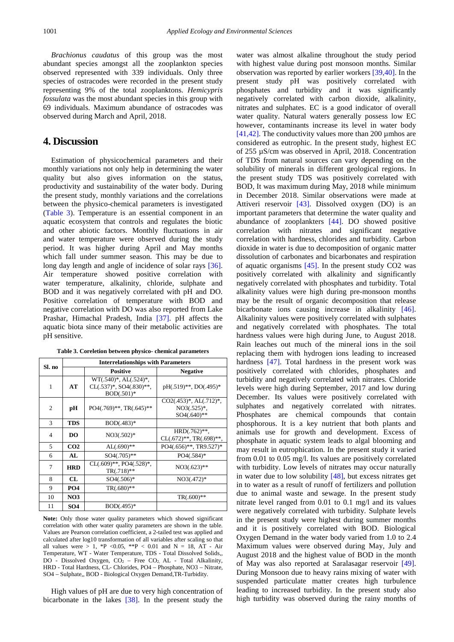*Brachionus caudatus* of this group was the most abundant species amongst all the zooplankton species observed represented with 339 individuals. Only three species of ostracodes were recorded in the present study representing 9% of the total zooplanktons. *Hemicypris fossulata* was the most abundant species in this group with 69 individuals. Maximum abundance of ostracodes was observed during March and April, 2018.

### **4. Discussion**

Estimation of physicochemical parameters and their monthly variations not only help in determining the water quality but also gives information on the status, productivity and sustainability of the water body. During the present study, monthly variations and the correlations between the physico-chemical parameters is investigated [\(Table 3\)](#page-3-0). Temperature is an essential component in an aquatic ecosystem that controls and regulates the biotic and other abiotic factors. Monthly fluctuations in air and water temperature were observed during the study period. It was higher during April and May months which fall under summer season. This may be due to long day length and angle of incidence of solar rays [\[36\].](#page-5-4) Air temperature showed positive correlation with water temperature, alkalinity, chloride, sulphate and BOD and it was negatively correlated with pH and DO. Positive correlation of temperature with BOD and negative correlation with DO was also reported from Lake Prashar, Himachal Pradesh, India [\[37\].](#page-5-5) pH affects the aquatic biota since many of their metabolic activities are pH sensitive.

| Table 3. Coreletion between physico- chemical parameters |  |  |  |  |
|----------------------------------------------------------|--|--|--|--|
|----------------------------------------------------------|--|--|--|--|

<span id="page-3-0"></span>

| Sl. no         | <b>Interrelationships with Parameters</b> |                                                                               |                                                                |  |  |  |  |  |  |  |  |
|----------------|-------------------------------------------|-------------------------------------------------------------------------------|----------------------------------------------------------------|--|--|--|--|--|--|--|--|
|                |                                           | <b>Positive</b>                                                               | <b>Negative</b>                                                |  |  |  |  |  |  |  |  |
| 1              | AT                                        | $WT(.540)^*, AL(.524)^*,$<br>$CL(.537)^*$ , SO4 $(.830)^{**}$ ,<br>BOD(.501)* | pH(.519)**, DO(.495)*                                          |  |  |  |  |  |  |  |  |
| 2              | рH                                        | $PO4(.769)$ **, TR $(.645)$ **                                                | $CO2(.453)^*, AL(.712)^*,$<br>$NO3(.525)*$ ,<br>$SO4(.640)$ ** |  |  |  |  |  |  |  |  |
| 3              | <b>TDS</b>                                | $BOD(.483)*$                                                                  |                                                                |  |  |  |  |  |  |  |  |
| $\overline{4}$ | D <sub>O</sub>                            | $NO3(.502)*$                                                                  | HRD(.762)**.<br>CL(.672)**, TR(.698)**,                        |  |  |  |  |  |  |  |  |
| 5              | CO <sub>2</sub>                           | $AL(.690)$ **                                                                 | PO4(.656)**, TR9.527)*                                         |  |  |  |  |  |  |  |  |
| 6              | AI.                                       | $SO4(.705)**$                                                                 | $PO4(.584)*$                                                   |  |  |  |  |  |  |  |  |
| 7              | <b>HRD</b>                                | $CL(.609)$ **, PO4 $(.528)$ *,<br>$TR(.718)$ **                               | $NO3(.623)**$                                                  |  |  |  |  |  |  |  |  |
| 8              | CL                                        | $SO4(.506)*$                                                                  | $NO3(.472)*$                                                   |  |  |  |  |  |  |  |  |
| 9              | <b>PO4</b>                                | $TR(.680)$ **                                                                 |                                                                |  |  |  |  |  |  |  |  |
| 10             | NO <sub>3</sub>                           |                                                                               | $TR(.600)$ **                                                  |  |  |  |  |  |  |  |  |
| 11             | SO <sub>4</sub>                           | $BOD(.495)*$                                                                  |                                                                |  |  |  |  |  |  |  |  |

**Note:** Only those water quality parameters which showed significant correlation with other water quality parameters are shown in the table. Values are Pearson correlation coefficient, a 2-tailed test was applied and calculated after log10 transformation of all variables after scaling so that all values were  $> 1$ , \*P < 0.05, \*\*P < 0.01 and N = 18, AT - Air Temperature, WT - Water Temperature, TDS - Total Dissolved Solids,, DO - Dissolved Oxygen,  $CO<sub>2</sub>$  – Free  $CO<sub>2</sub>$ , AL - Total Alkalinity, HRD - Total Hardness, CL- Chlorides, PO4 – Phosphate, NO3 – Nitrate, SO4 – Sulphate,, BOD - Biological Oxygen Demand,TR-Turbidity.

High values of pH are due to very high concentration of bicarbonate in the lakes [\[38\].](#page-5-6) In the present study the

water was almost alkaline throughout the study period with highest value during post monsoon months. Similar observation was reported by earlier workers [\[39,40\].](#page-5-7) In the present study pH was positively correlated with phosphates and turbidity and it was significantly negatively correlated with carbon dioxide, alkalinity, nitrates and sulphates. EC is a good indicator of overall water quality. Natural waters generally possess low EC however, contaminants increase its level in water body [\[41,42\].](#page-5-8) The conductivity values more than 200  $\mu$ mhos are considered as eutrophic. In the present study, highest EC of 255 µS/cm was observed in April, 2018. Concentration of TDS from natural sources can vary depending on the solubility of minerals in different geological regions. In the present study TDS was positively correlated with BOD, It was maximum during May, 2018 while minimum in December 2018. Similar observations were made at Attiveri reservoir [\[43\].](#page-5-9) Dissolved oxygen (DO) is an important parameters that determine the water quality and abundance of zooplankters [\[44\].](#page-5-10) DO showed positive correlation with nitrates and significant negative correlation with hardness, chlorides and turbidity. Carbon dioxide in water is due to decomposition of organic matter dissolution of carbonates and bicarbonates and respiration of aquatic organisms [\[45\].](#page-5-11) In the present study CO2 was positively correlated with alkalinity and significantly negatively correlated with phosphates and turbidity. Total alkalinity values were high during pre-monsoon months may be the result of organic decomposition that release bicarbonate ions causing increase in alkalinity [\[46\].](#page-5-12) Alkalinity values were positively correlated with sulphates and negatively correlated with phosphates. The total hardness values were high during June, to August 2018. Rain leaches out much of the mineral ions in the soil replacing them with hydrogen ions leading to increased hardness [\[47\].](#page-5-13) Total hardness in the present work was positively correlated with chlorides, phosphates and turbidity and negatively correlated with nitrates. Chloride levels were high during September, 2017 and low during December. Its values were positively correlated with sulphates and negatively correlated with nitrates. Phosphates are chemical compounds that contain phosphorous. It is a key nutrient that both plants and animals use for growth and development. Excess of phosphate in aquatic system leads to algal blooming and may result in eutrophication. In the present study it varied from 0.01 to 0.05 mg/l. Its values are positively correlated with turbidity. Low levels of nitrates may occur naturally in water due to low solubility [\[48\],](#page-5-14) but excess nitrates get in to water as a result of runoff of fertilizers and pollution due to animal waste and sewage. In the present study nitrate level ranged from 0.01 to 0.1 mg/l and its values were negatively correlated with turbidity. Sulphate levels in the present study were highest during summer months and it is positively correlated with BOD. Biological Oxygen Demand in the water body varied from 1.0 to 2.4 Maximum values were observed during May, July and August 2018 and the highest value of BOD in the month of May was also reported at Saralasagar reservoir [\[49\].](#page-5-15) During Monsoon due to heavy rains mixing of water with suspended particulate matter creates high turbulence leading to increased turbidity. In the present study also high turbidity was observed during the rainy months of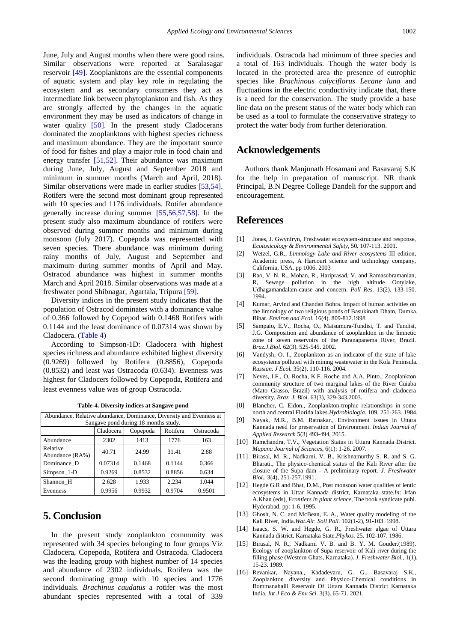June, July and August months when there were good rains. Similar observations were reported at Saralasagar reservoir [\[49\].](#page-5-15) Zooplanktons are the essential components of aquatic system and play key role in regulating the ecosystem and as secondary consumers they act as intermediate link between phytoplankton and fish. As they are strongly affected by the changes in the aquatic environment they may be used as indicators of change in water quality [\[50\].](#page-5-16) In the present study Cladocerans dominated the zooplanktons with highest species richness and maximum abundance. They are the important source of food for fishes and play a major role in food chain and energy transfer [\[51,52\].](#page-5-17) Their abundance was maximum during June, July, August and September 2018 and minimum in summer months (March and April, 2018). Similar observations were made in earlier studies [\[53,54\].](#page-5-18) Rotifers were the second most dominant group represented with 10 species and 1176 individuals. Rotifer abundance generally increase during summer [\[55,56,57,58\].](#page-5-19) In the present study also maximum abundance of rotifers were observed during summer months and minimum during monsoon (July 2017). Copepoda was represented with seven species. There abundance was minimum during rainy months of July, August and September and maximum during summer months of April and May. Ostracod abundance was highest in summer months March and April 2018. Similar observations was made at a freshwater pond Shibnagar, Agartala, Tripura [\[59\].](#page-5-20)

Diversity indices in the present study indicates that the population of Ostracod dominates with a dominance value of 0.366 followed by Copepod with 0.1468 Rotifers with 0.1144 and the least dominance of 0.07314 was shown by Cladocera. [\(Table 4\)](#page-4-13)

According to Simpson-1D: Cladocera with highest species richness and abundance exhibited highest diversity (0.9269) followed by Rotifera (0.8856), Copepoda (0.8532) and least was Ostracoda (0.634). Evenness was highest for Cladocers followed by Copepoda, Rotifera and least evenness value was of group Ostracoda.

<span id="page-4-13"></span>

| Abundance, Relative abundance, Dominance, Diversity and Evenness at |         |        |        |        |  |  |  |  |  |  |  |  |
|---------------------------------------------------------------------|---------|--------|--------|--------|--|--|--|--|--|--|--|--|
| Sangave pond during 18 months study.                                |         |        |        |        |  |  |  |  |  |  |  |  |
| Rotifera<br>Cladocera<br>Copepoda<br>Ostracoda                      |         |        |        |        |  |  |  |  |  |  |  |  |
| Abundance                                                           | 2302    | 1413   | 1776   | 163    |  |  |  |  |  |  |  |  |
| Relative<br>Abundance (RA%)                                         | 40.71   | 24.99  | 31.41  | 2.88   |  |  |  |  |  |  |  |  |
| Dominance D                                                         | 0.07314 | 0.1468 | 0.1144 | 0.366  |  |  |  |  |  |  |  |  |
| $Simpson_1-D$                                                       | 0.9269  | 0.8532 | 0.8856 | 0.634  |  |  |  |  |  |  |  |  |
| Shannon H                                                           | 2.628   | 1.933  | 2.234  | 1.044  |  |  |  |  |  |  |  |  |
| Evenness                                                            | 0.9956  | 0.9932 | 0.9704 | 0.9501 |  |  |  |  |  |  |  |  |

**Table-4. Diversity indices at Sangave pond**

## **5. Conclusion**

In the present study zooplankton community was represented with 34 species belonging to four groups Viz Cladocera, Copepoda, Rotifera and Ostracoda. Cladocera was the leading group with highest number of 14 species and abundance of 2302 individuals. Rotifera was the second dominating group with 10 species and 1776 individuals. *Brachinus caudatus* a rotifer was the most abundant species represented with a total of 339 individuals. Ostracoda had minimum of three species and a total of 163 individuals. Though the water body is located in the protected area the presence of eutrophic species like *Brachinous calyciflorus Lecane luna* and fluctuations in the electric conductivity indicate that, there is a need for the conservation. The study provide a base line data on the present status of the water body which can be used as a tool to formulate the conservative strategy to protect the water body from further deterioration.

## **Acknowledgements**

Authors thank Manjunath Hosamani and Basavaraj S.K for the help in preparation of manuscript. NR thank Principal, B.N Degree College Dandeli for the support and encouragement.

## **References**

- <span id="page-4-0"></span>[1] Jones, J. Gwynfryn, Freshwater ecosystem-structure and response, *Ecotoxicology & Environmental Safety,* 50**.** 107-113. 2001.
- <span id="page-4-1"></span>[2] Wetzel, G.R., *Limnology Lake and River ecosystems* III edition, Academic press, A Harcourt science and technology company, California, USA. pp 1006. 2003
- <span id="page-4-2"></span>Rao, V. N. R., Mohan, R., Hariprasad, V. and Ramasubramanian, R, Sewage pollution in the high altitude Ootylake, Udhagamandalam-cause and concern. *Poll Res*. 13(2). 133-150. 1994.
- <span id="page-4-3"></span>[4] Kumar, Arvind and Chandan Bohra. Impact of human activities on the limnology of two religious ponds of Basukinath Dham, Dumka, Bihar. *Environ and Ecol*. 16(4). 809-812.1998
- <span id="page-4-4"></span>[5] Sampaio, E.V., Rocha, O., Matsumura-Tundisi, T. and Tundisi, J.G. Composition and abundance of zooplankton in the limnetic zone of seven reservoirs of the Paranapanema River, Brazil. *Braz.J.Biol.* 62(3). 525-545. 2002.
- <span id="page-4-5"></span>[6] Vandysh, O. I., Zooplankton as an indicator of the state of lake ecosystems polluted with mining wastewater in the Kola Peninsula. *Russian. J Ecol.* 35(2), 110-116. 2004.
- <span id="page-4-6"></span>[7] Neves, I.F., O. Rocha, K.F. Roche and A.A. Pinto., Zooplankton community structure of two marginal lakes of the River Cuiaba (Mato Grasso, Brazil) with analysis of rotifera and cladocera diversity. *Braz. J. Biol.* 63(3), 329-343.2003.
- <span id="page-4-7"></span>[8] Blancher, C. Eldon., Zooplankton-trophic relationships in some north and central Florida lakes.*Hydrobiologia.* 109, 251-263. 1984.
- <span id="page-4-8"></span>[9] Nayak, M.R., B.M. Ratnakar., Environment issues in Uttara Kannada need for preservation of Environment. *Indian Journal of Applied Research* 5(3) 493-494, 2015.
- <span id="page-4-9"></span>[10] Ramchandra, T.V., Vegetation Status in Uttara Kannada District. *Mapana Journal of Sciences*, 6(1): 1-26. 2007.
- <span id="page-4-10"></span>[11] Birasal, M. R., Nadkarni, V. B., Krishnamurthy S. R. and S. G. Bharati., The physico-chemical status of the Kali River after the closure of the Supa dam - A preliminary report. *J. Freshwater Biol.*, 3(4), 251-257.1991.
- [12] Hegde G.R and Bhat, D.M., Post monsoon water qualities of lentic ecosystems in Uttar Kannada district, Karnataka state.*In*: Irfan A.Khan (eds), *Frontiers in plant science*, The book syndicate publ. Hyderabad, pp: 1-6. 1995.
- [13] Ghosh, N. C. and McBean, E. A., Water quality modeling of the Kali River, India.*Wat.Air. Soil Poll.* 102(1-2), 91-103. 1998.
- <span id="page-4-11"></span>[14] Isaacs, S. W. and Hegde, G. R., Freshwater algae of Uttara Kannada district, Karnataka State.*Phykos.* 25**.** 102-107. 1986.
- [15] Birasal, N. R., Nadkarni V. B. and B. Y. M. Gouder.(1989). Ecology of zooplankton of Supa reservoir of Kali river during the filling phase (Western Ghats, Karnataka). *J. Freshwater Biol.*, 1(1), 15-23. 1989.
- <span id="page-4-12"></span>[16] Revankar, Nayana., Kadadevaru, G. G., Basavaraj S.K., Zooplankton diversity and Physico-Chemical conditions in Bommanahalli Reservoir Of Uttara Kannada District Karnataka India*. Int J Eco & Env.Sci.* 3(3). 65-71. 2021.